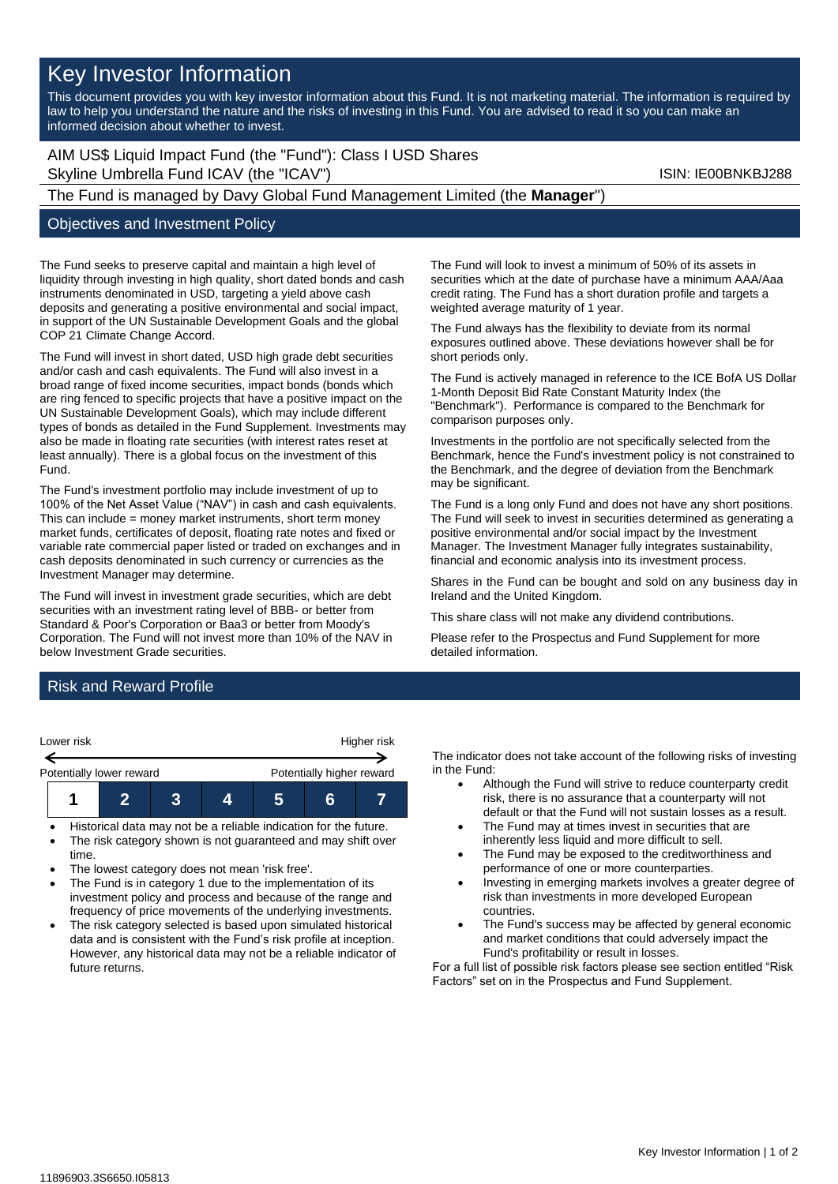## Key Investor Information

This document provides you with key investor information about this Fund. It is not marketing material. The information is required by law to help you understand the nature and the risks of investing in this Fund. You are advised to read it so you can make an informed decision about whether to invest.

AIM US\$ Liquid Impact Fund (the "Fund"): Class I USD Shares Skyline Umbrella Fund ICAV (the "ICAV") Skyline Umbrella Fund ICAV (the "ICAV")

# The Fund is managed by Davy Global Fund Management Limited (the **Manager**")

### Objectives and Investment Policy

The Fund seeks to preserve capital and maintain a high level of liquidity through investing in high quality, short dated bonds and cash instruments denominated in USD, targeting a yield above cash deposits and generating a positive environmental and social impact, in support of the UN Sustainable Development Goals and the global COP 21 Climate Change Accord.

The Fund will invest in short dated, USD high grade debt securities and/or cash and cash equivalents. The Fund will also invest in a broad range of fixed income securities, impact bonds (bonds which are ring fenced to specific projects that have a positive impact on the UN Sustainable Development Goals), which may include different types of bonds as detailed in the Fund Supplement. Investments may also be made in floating rate securities (with interest rates reset at least annually). There is a global focus on the investment of this Fund.

The Fund's investment portfolio may include investment of up to 100% of the Net Asset Value ("NAV") in cash and cash equivalents. This can include = money market instruments, short term money market funds, certificates of deposit, floating rate notes and fixed or variable rate commercial paper listed or traded on exchanges and in cash deposits denominated in such currency or currencies as the Investment Manager may determine.

The Fund will invest in investment grade securities, which are debt securities with an investment rating level of BBB- or better from Standard & Poor's Corporation or Baa3 or better from Moody's Corporation. The Fund will not invest more than 10% of the NAV in below Investment Grade securities.

The Fund will look to invest a minimum of 50% of its assets in securities which at the date of purchase have a minimum AAA/Aaa credit rating. The Fund has a short duration profile and targets a weighted average maturity of 1 year.

The Fund always has the flexibility to deviate from its normal exposures outlined above. These deviations however shall be for short periods only.

The Fund is actively managed in reference to the ICE BofA US Dollar 1-Month Deposit Bid Rate Constant Maturity Index (the "Benchmark"). Performance is compared to the Benchmark for comparison purposes only.

Investments in the portfolio are not specifically selected from the Benchmark, hence the Fund's investment policy is not constrained to the Benchmark, and the degree of deviation from the Benchmark may be significant.

The Fund is a long only Fund and does not have any short positions. The Fund will seek to invest in securities determined as generating a positive environmental and/or social impact by the Investment Manager. The Investment Manager fully integrates sustainability, financial and economic analysis into its investment process.

Shares in the Fund can be bought and sold on any business day in Ireland and the United Kingdom.

This share class will not make any dividend contributions.

Please refer to the Prospectus and Fund Supplement for more detailed information.

## Risk and Reward Profile



- Historical data may not be a reliable indication for the future.
- The risk category shown is not guaranteed and may shift over time.
- The lowest category does not mean 'risk free'.
- The Fund is in category 1 due to the implementation of its investment policy and process and because of the range and frequency of price movements of the underlying investments.
- The risk category selected is based upon simulated historical data and is consistent with the Fund's risk profile at inception. However, any historical data may not be a reliable indicator of future returns.

The indicator does not take account of the following risks of investing in the Fund:

- Although the Fund will strive to reduce counterparty credit risk, there is no assurance that a counterparty will not default or that the Fund will not sustain losses as a result.
- The Fund may at times invest in securities that are inherently less liquid and more difficult to sell.
- The Fund may be exposed to the creditworthiness and performance of one or more counterparties.
- Investing in emerging markets involves a greater degree of risk than investments in more developed European countries.
- The Fund's success may be affected by general economic and market conditions that could adversely impact the Fund's profitability or result in losses.

For a full list of possible risk factors please see section entitled "Risk Factors" set on in the Prospectus and Fund Supplement.